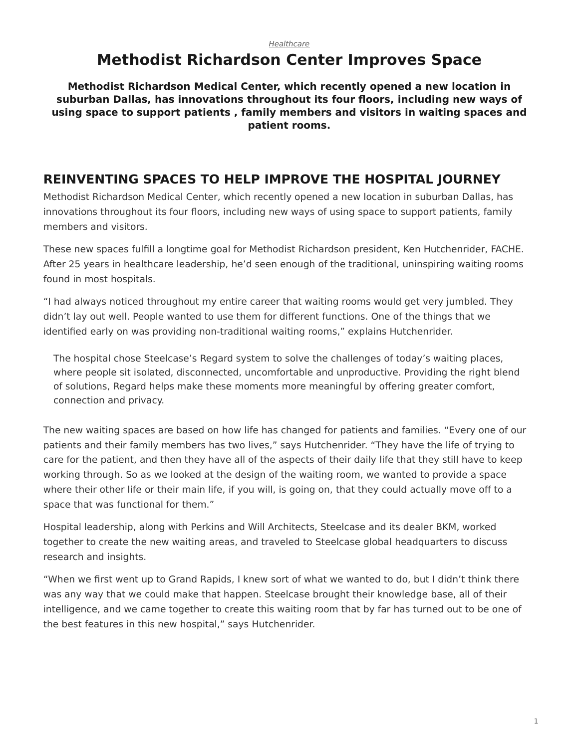#### *[Healthcare](https://www.steelcase.com/research/topics/healthcare/)*

# <span id="page-0-0"></span>**Methodist Richardson Center Improves Space**

**Methodist Richardson Medical Center, which recently opened a new location in suburban Dallas, has innovations throughout its four floors, including new ways of using space to support patients , family members and visitors in waiting spaces and patient rooms.**

### **REINVENTING SPACES TO HELP IMPROVE THE HOSPITAL JOURNEY**

Methodist Richardson Medical Center, which recently opened a new location in suburban Dallas, has innovations throughout its four floors, including new ways of using space to support patients, family members and visitors.

These new spaces fulfill a longtime goal for Methodist Richardson president, Ken Hutchenrider, FACHE. After 25 years in healthcare leadership, he'd seen enough of the traditional, uninspiring waiting rooms found in most hospitals.

"I had always noticed throughout my entire career that waiting rooms would get very jumbled. They didn't lay out well. People wanted to use them for different functions. One of the things that we identified early on was providing non-traditional waiting rooms," explains Hutchenrider.

The hospital chose Steelcase's Regard system to solve the challenges of today's waiting places, where people sit isolated, disconnected, uncomfortable and unproductive. Providing the right blend of solutions, Regard helps make these moments more meaningful by offering greater comfort, connection and privacy.

The new waiting spaces are based on how life has changed for patients and families. "Every one of our patients and their family members has two lives," says Hutchenrider. "They have the life of trying to care for the patient, and then they have all of the aspects of their daily life that they still have to keep working through. So as we looked at the design of the waiting room, we wanted to provide a space where their other life or their main life, if you will, is going on, that they could actually move off to a space that was functional for them."

Hospital leadership, along with Perkins and Will Architects, Steelcase and its dealer BKM, worked together to create the new waiting areas, and traveled to Steelcase global headquarters to discuss research and insights.

"When we first went up to Grand Rapids, I knew sort of what we wanted to do, but I didn't think there was any way that we could make that happen. Steelcase brought their knowledge base, all of their intelligence, and we came together to create this waiting room that by far has turned out to be one of the best features in this new hospital," says Hutchenrider.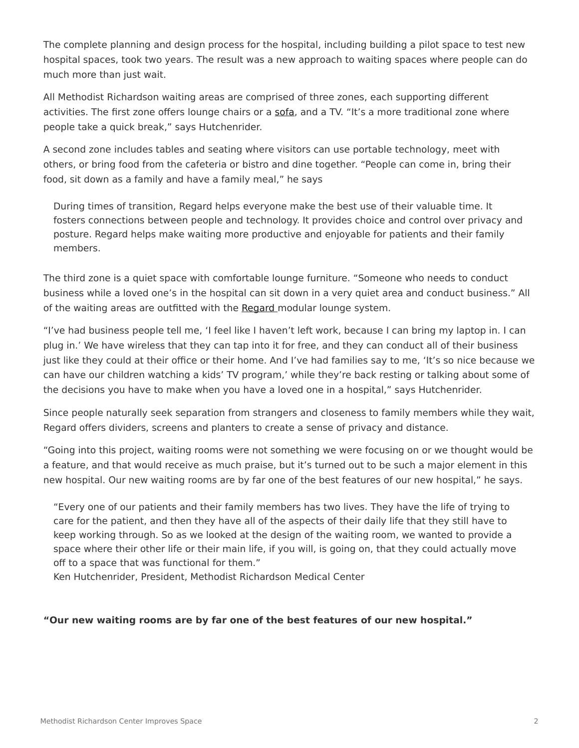The complete planning and design process for the hospital, including building a pilot space to test new hospital spaces, took two years. The result was a new approach to waiting spaces where people can do much more than just wait.

All Methodist Richardson waiting areas are comprised of three zones, each supporting different activities. The first zone offers lounge chairs or a [sofa](https://www.steelcase.com/products/sofas/), and a TV. "It's a more traditional zone where people take a quick break," says Hutchenrider.

A second zone includes tables and seating where visitors can use portable technology, meet with others, or bring food from the cafeteria or bistro and dine together. "People can come in, bring their food, sit down as a family and have a family meal," he says

During times of transition, Regard helps everyone make the best use of their valuable time. It fosters connections between people and technology. It provides choice and control over privacy and posture. Regard helps make waiting more productive and enjoyable for patients and their family members.

The third zone is a quiet space with comfortable lounge furniture. "Someone who needs to conduct business while a loved one's in the hospital can sit down in a very quiet area and conduct business." All of the waiting areas are outfitted with the [Regard](https://www.steelcase.com/products/bookcases-cabinets/regard/) modular lounge system.

"I've had business people tell me, 'I feel like I haven't left work, because I can bring my laptop in. I can plug in.' We have wireless that they can tap into it for free, and they can conduct all of their business just like they could at their office or their home. And I've had families say to me, 'It's so nice because we can have our children watching a kids' TV program,' while they're back resting or talking about some of the decisions you have to make when you have a loved one in a hospital," says Hutchenrider.

Since people naturally seek separation from strangers and closeness to family members while they wait, Regard offers dividers, screens and planters to create a sense of privacy and distance.

"Going into this project, waiting rooms were not something we were focusing on or we thought would be a feature, and that would receive as much praise, but it's turned out to be such a major element in this new hospital. Our new waiting rooms are by far one of the best features of our new hospital," he says.

"Every one of our patients and their family members has two lives. They have the life of trying to care for the patient, and then they have all of the aspects of their daily life that they still have to keep working through. So as we looked at the design of the waiting room, we wanted to provide a space where their other life or their main life, if you will, is going on, that they could actually move off to a space that was functional for them."

Ken Hutchenrider, President, Methodist Richardson Medical Center

#### **"Our new waiting rooms are by far one of the best features of our new hospital."**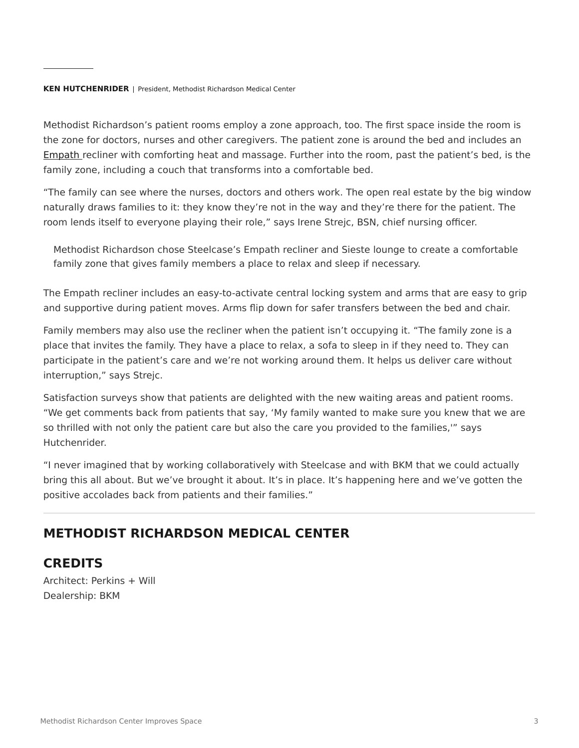#### **KEN HUTCHENRIDER** | President, Methodist Richardson Medical Center

Methodist Richardson's patient rooms employ a zone approach, too. The first space inside the room is the zone for doctors, nurses and other caregivers. The patient zone is around the bed and includes an [Empath](https://www.steelcase.com/products/patient-bariatric-chairs/empath/) recliner with comforting heat and massage. Further into the room, past the patient's bed, is the family zone, including a couch that transforms into a comfortable bed.

"The family can see where the nurses, doctors and others work. The open real estate by the big window naturally draws families to it: they know they're not in the way and they're there for the patient. The room lends itself to everyone playing their role," says Irene Strejc, BSN, chief nursing officer.

Methodist Richardson chose Steelcase's Empath recliner and Sieste lounge to create a comfortable family zone that gives family members a place to relax and sleep if necessary.

The Empath recliner includes an easy-to-activate central locking system and arms that are easy to grip and supportive during patient moves. Arms flip down for safer transfers between the bed and chair.

Family members may also use the recliner when the patient isn't occupying it. "The family zone is a place that invites the family. They have a place to relax, a sofa to sleep in if they need to. They can participate in the patient's care and we're not working around them. It helps us deliver care without interruption," says Strejc.

Satisfaction surveys show that patients are delighted with the new waiting areas and patient rooms. "We get comments back from patients that say, 'My family wanted to make sure you knew that we are so thrilled with not only the patient care but also the care you provided to the families,'" says Hutchenrider.

"I never imagined that by working collaboratively with Steelcase and with BKM that we could actually bring this all about. But we've brought it about. It's in place. It's happening here and we've gotten the positive accolades back from patients and their families."

## **METHODIST RICHARDSON MEDICAL CENTER**

### **CREDITS**

Architect: Perkins + Will Dealership: BKM